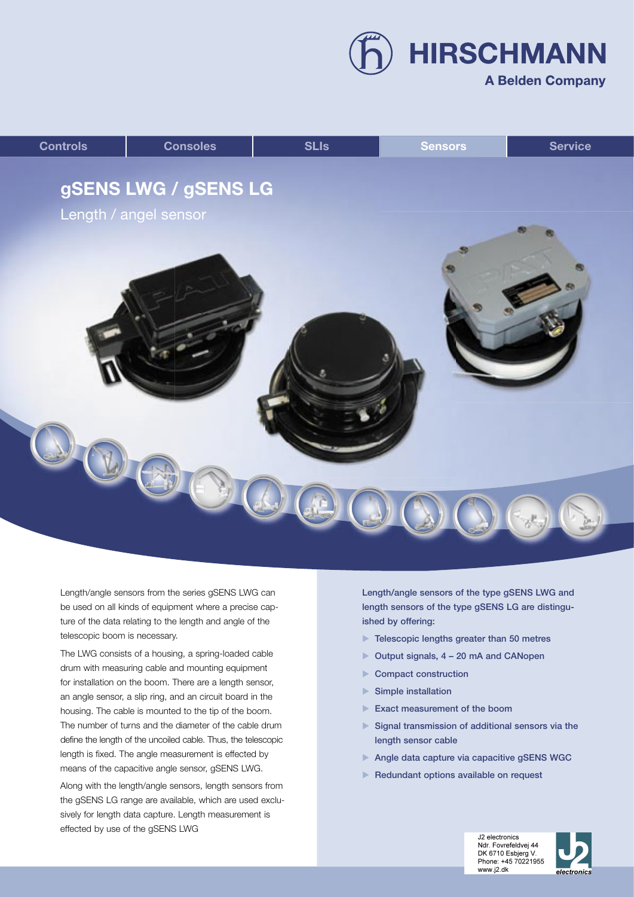**HIRSCHMANN** 

## **A Belden Company**



Length/angle sensors from the series gSENS LWG can be used on all kinds of equipment where a precise capture of the data relating to the length and angle of the telescopic boom is necessary.

The LWG consists of a housing, a spring-loaded cable drum with measuring cable and mounting equipment for installation on the boom. There are a length sensor, an angle sensor, a slip ring, and an circuit board in the housing. The cable is mounted to the tip of the boom. The number of turns and the diameter of the cable drum define the length of the uncoiled cable. Thus, the telescopic length is fixed. The angle measurement is effected by means of the capacitive angle sensor, gSENS LWG.

Along with the length/angle sensors, length sensors from the gSENS LG range are available, which are used exclusively for length data capture. Length measurement is effected by use of the gSENS LWG

Length/angle sensors of the type gSENS LWG and length sensors of the type gSENS LG are distinguished by offering:

- $\blacktriangleright$  Telescopic lengths greater than 50 metres
- ▶ Output signals, 4 20 mA and CANopen
- Compact construction
- Simple installation
- Exact measurement of the boom
- Signal transmission of additional sensors via the length sensor cable
- Angle data capture via capacitive gSENS WGC
- Redundant options available on request